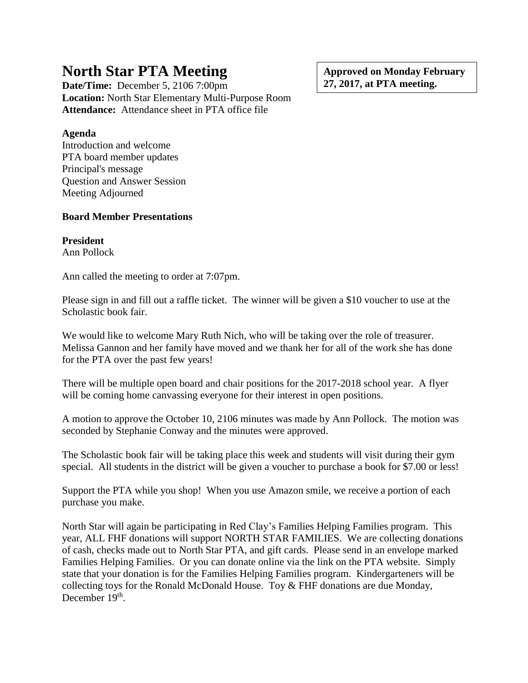# **North Star PTA Meeting**

**Date/Time:** December 5, 2106 7:00pm **Location:** North Star Elementary Multi-Purpose Room **Attendance:** Attendance sheet in PTA office file

**Agenda**

Introduction and welcome PTA board member updates Principal's message Question and Answer Session Meeting Adjourned

## **Board Member Presentations**

**President**

Ann Pollock

Ann called the meeting to order at 7:07pm.

Please sign in and fill out a raffle ticket. The winner will be given a \$10 voucher to use at the Scholastic book fair.

We would like to welcome Mary Ruth Nich, who will be taking over the role of treasurer. Melissa Gannon and her family have moved and we thank her for all of the work she has done for the PTA over the past few years!

There will be multiple open board and chair positions for the 2017-2018 school year. A flyer will be coming home canvassing everyone for their interest in open positions.

A motion to approve the October 10, 2106 minutes was made by Ann Pollock. The motion was seconded by Stephanie Conway and the minutes were approved.

The Scholastic book fair will be taking place this week and students will visit during their gym special. All students in the district will be given a voucher to purchase a book for \$7.00 or less!

Support the PTA while you shop! When you use Amazon smile, we receive a portion of each purchase you make.

North Star will again be participating in Red Clay's Families Helping Families program. This year, ALL FHF donations will support NORTH STAR FAMILIES. We are collecting donations of cash, checks made out to North Star PTA, and gift cards. Please send in an envelope marked Families Helping Families. Or you can donate online via the link on the PTA website. Simply state that your donation is for the Families Helping Families program. Kindergarteners will be collecting toys for the Ronald McDonald House. Toy & FHF donations are due Monday, December 19<sup>th</sup>.

**Approved on Monday February 27, 2017, at PTA meeting.**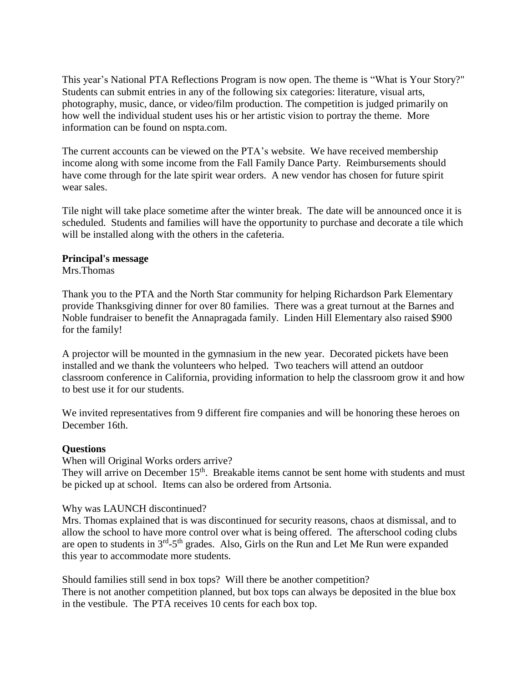This year's National PTA Reflections Program is now open. The theme is "What is Your Story?" Students can submit entries in any of the following six categories: literature, visual arts, photography, music, dance, or video/film production. The competition is judged primarily on how well the individual student uses his or her artistic vision to portray the theme. More information can be found on nspta.com.

The current accounts can be viewed on the PTA's website. We have received membership income along with some income from the Fall Family Dance Party. Reimbursements should have come through for the late spirit wear orders. A new vendor has chosen for future spirit wear sales.

Tile night will take place sometime after the winter break. The date will be announced once it is scheduled. Students and families will have the opportunity to purchase and decorate a tile which will be installed along with the others in the cafeteria.

#### **Principal's message**

Mrs.Thomas

Thank you to the PTA and the North Star community for helping Richardson Park Elementary provide Thanksgiving dinner for over 80 families. There was a great turnout at the Barnes and Noble fundraiser to benefit the Annapragada family. Linden Hill Elementary also raised \$900 for the family!

A projector will be mounted in the gymnasium in the new year. Decorated pickets have been installed and we thank the volunteers who helped. Two teachers will attend an outdoor classroom conference in California, providing information to help the classroom grow it and how to best use it for our students.

We invited representatives from 9 different fire companies and will be honoring these heroes on December 16th.

### **Questions**

When will Original Works orders arrive?

They will arrive on December 15<sup>th</sup>. Breakable items cannot be sent home with students and must be picked up at school. Items can also be ordered from Artsonia.

### Why was LAUNCH discontinued?

Mrs. Thomas explained that is was discontinued for security reasons, chaos at dismissal, and to allow the school to have more control over what is being offered. The afterschool coding clubs are open to students in  $3<sup>rd</sup> - 5<sup>th</sup>$  grades. Also, Girls on the Run and Let Me Run were expanded this year to accommodate more students.

Should families still send in box tops? Will there be another competition? There is not another competition planned, but box tops can always be deposited in the blue box in the vestibule. The PTA receives 10 cents for each box top.